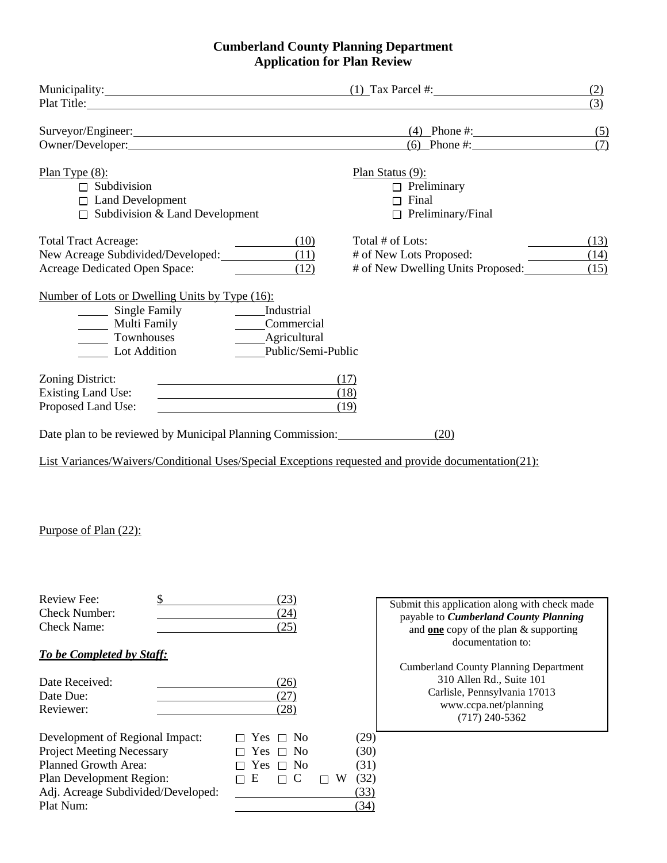## **Cumberland County Planning Department Application for Plan Review**

| Municipality: (1) Tax Parcel #:<br>Plat Title: The Commission of the Commission of the Commission of the Commission of the Commission of the Commission of the Commission of the Commission of the Commission of the Commission of the Commission of the Commissi |                                         |                                                                                                                                                       | (2)<br>(3)           |
|-------------------------------------------------------------------------------------------------------------------------------------------------------------------------------------------------------------------------------------------------------------------|-----------------------------------------|-------------------------------------------------------------------------------------------------------------------------------------------------------|----------------------|
| Surveyor/Engineer: (4) Phone #:<br>Owner/Developer: (6) Phone #:                                                                                                                                                                                                  |                                         |                                                                                                                                                       | (5)<br>(7)           |
| Plan Type $(8)$ :<br>$\Box$ Subdivision<br>$\Box$ Land Development<br>$\Box$ Subdivision & Land Development                                                                                                                                                       |                                         | Plan Status $(9)$ :<br>$\Box$ Preliminary<br>$\Box$ Final<br>$\Box$ Preliminary/Final                                                                 |                      |
| <b>Total Tract Acreage:</b><br>New Acreage Subdivided/Developed: (11)<br>Acreage Dedicated Open Space:                                                                                                                                                            | (10)<br>(12)                            | Total # of Lots:<br># of New Lots Proposed:<br># of New Dwelling Units Proposed:                                                                      | (13)<br>(14)<br>(15) |
| Number of Lots or Dwelling Units by Type (16):<br>Multi Family _____________Commercial<br>Townhouses<br>Lot Addition                                                                                                                                              | _____Agricultural<br>Public/Semi-Public |                                                                                                                                                       |                      |
| Zoning District:<br><b>Existing Land Use:</b><br>Proposed Land Use:                                                                                                                                                                                               | (17)<br>(18)<br>(19)                    |                                                                                                                                                       |                      |
| Date plan to be reviewed by Municipal Planning Commission: _____________________<br>List Variances/Waivers/Conditional Uses/Special Exceptions requested and provide documentation(21):                                                                           |                                         | (20)                                                                                                                                                  |                      |
| Purpose of Plan (22):                                                                                                                                                                                                                                             |                                         |                                                                                                                                                       |                      |
| Review Fee:<br>\$<br><b>Check Number:</b><br><b>Check Name:</b>                                                                                                                                                                                                   | (23)<br>(24)<br>(25)                    | Submit this application along with check made<br>payable to Cumberland County Planning<br>and one copy of the plan & supporting<br>documentation to:  |                      |
| To be Completed by Staff:<br>Date Received:<br>Date Due:<br>Reviewer:                                                                                                                                                                                             | (26)<br>(27)<br>(28)                    | <b>Cumberland County Planning Department</b><br>310 Allen Rd., Suite 101<br>Carlisle, Pennsylvania 17013<br>www.ccpa.net/planning<br>$(717)$ 240-5362 |                      |

| Development of Regional Impact:    | $\Box$ Yes $\Box$ No | (29)          |
|------------------------------------|----------------------|---------------|
| <b>Project Meeting Necessary</b>   | $\Box$ Yes $\Box$ No | (30)          |
| <b>Planned Growth Area:</b>        | $\Box$ Yes $\Box$ No | (31)          |
| Plan Development Region:           | $\Box$ E $\Box$ C    | $\Box$ W (32) |
| Adj. Acreage Subdivided/Developed: |                      | (33)          |
| Plat Num:                          |                      | (34)          |

 $\Box$  Yes  $\Box$  No (29)  $\Box$  Yes  $\Box$  No (30)<br> $\Box$  Yes  $\Box$  No (31)  $\Box$  Yes  $\Box$  No (31)<br> $\Box$  E  $\Box$  C  $\Box$  W (32)  $\begin{array}{ccc} \square & E & \square & C & \square & W & (32) \\ \hline & & & & & (33) \\ \end{array}$